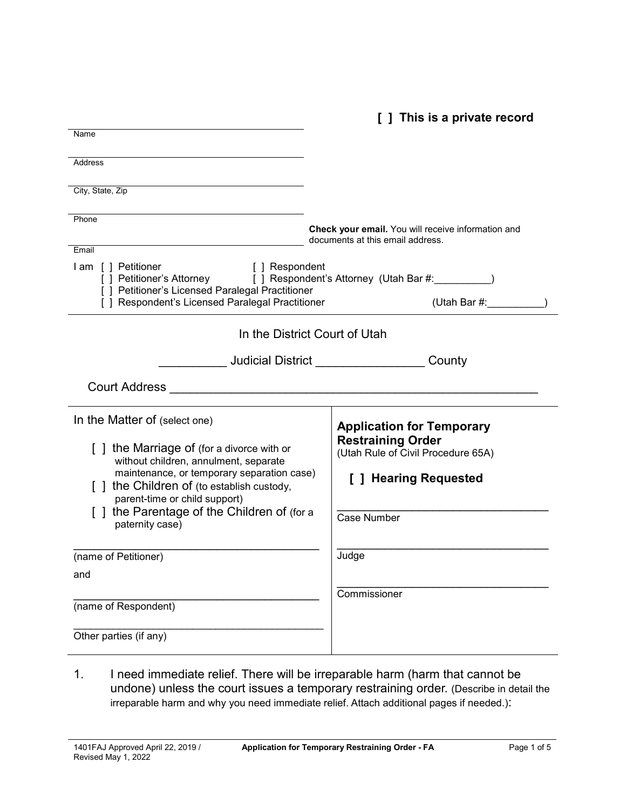**[ ] This is a private record**

| Name                                                                                                                                                                                                                                      |                                                                                        |  |  |  |  |
|-------------------------------------------------------------------------------------------------------------------------------------------------------------------------------------------------------------------------------------------|----------------------------------------------------------------------------------------|--|--|--|--|
| <b>Address</b>                                                                                                                                                                                                                            |                                                                                        |  |  |  |  |
| City, State, Zip                                                                                                                                                                                                                          |                                                                                        |  |  |  |  |
| Phone                                                                                                                                                                                                                                     | Check your email. You will receive information and<br>documents at this email address. |  |  |  |  |
| Email<br>I am [] Petitioner<br>[ ] Respondent<br>[ ] Petitioner's Attorney [ ] Respondent's Attorney (Utah Bar #: \\squire{\math}<br>[ ] Petitioner's Licensed Paralegal Practitioner<br>[ ] Respondent's Licensed Paralegal Practitioner | (Utah Bar #:                                                                           |  |  |  |  |
| In the District Court of Utah                                                                                                                                                                                                             |                                                                                        |  |  |  |  |
|                                                                                                                                                                                                                                           | <b>Judicial District Analysis of the United States</b><br>County                       |  |  |  |  |
| <b>Court Address</b>                                                                                                                                                                                                                      |                                                                                        |  |  |  |  |
| In the Matter of (select one)                                                                                                                                                                                                             | <b>Application for Temporary</b>                                                       |  |  |  |  |
| [] the Marriage of (for a divorce with or<br>without children, annulment, separate                                                                                                                                                        | <b>Restraining Order</b><br>(Utah Rule of Civil Procedure 65A)                         |  |  |  |  |
| maintenance, or temporary separation case)<br>[] the Children of (to establish custody,<br>parent-time or child support)                                                                                                                  | [ ] Hearing Requested                                                                  |  |  |  |  |
| [] the Parentage of the Children of (for a<br>paternity case)                                                                                                                                                                             | Case Number                                                                            |  |  |  |  |
| (name of Petitioner)                                                                                                                                                                                                                      | Judge                                                                                  |  |  |  |  |
| and                                                                                                                                                                                                                                       |                                                                                        |  |  |  |  |
| (name of Respondent)                                                                                                                                                                                                                      | Commissioner                                                                           |  |  |  |  |
| Other parties (if any)                                                                                                                                                                                                                    |                                                                                        |  |  |  |  |

1. I need immediate relief. There will be irreparable harm (harm that cannot be undone) unless the court issues a temporary restraining order. (Describe in detail the irreparable harm and why you need immediate relief. Attach additional pages if needed.):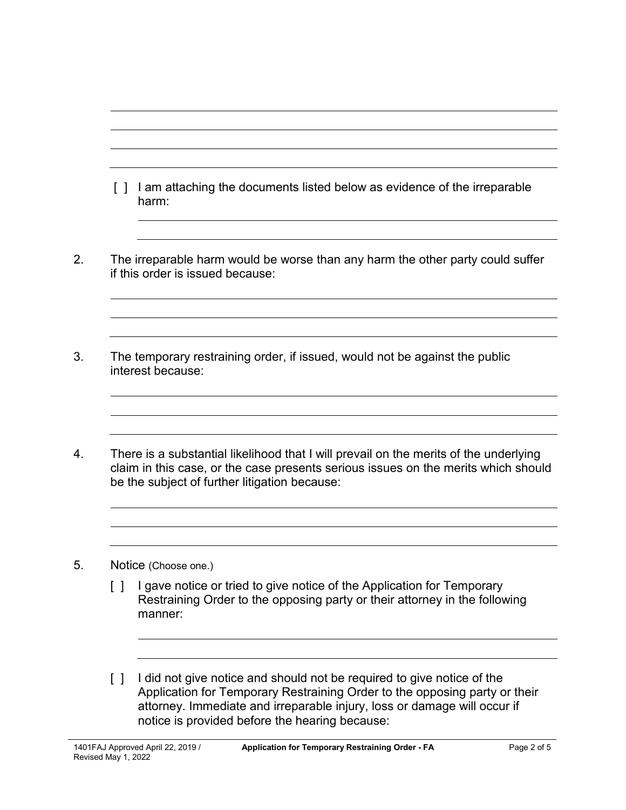| $\Box$ | I am attaching the documents listed below as evidence of the irreparable<br>harm:                                                                                                                                            |
|--------|------------------------------------------------------------------------------------------------------------------------------------------------------------------------------------------------------------------------------|
|        | The irreparable harm would be worse than any harm the other party could suffer<br>if this order is issued because:                                                                                                           |
|        |                                                                                                                                                                                                                              |
|        | The temporary restraining order, if issued, would not be against the public<br>interest because:                                                                                                                             |
|        | There is a substantial likelihood that I will prevail on the merits of the underlying<br>claim in this case, or the case presents serious issues on the merits which should<br>be the subject of further litigation because: |

[ ] I did not give notice and should not be required to give notice of the Application for Temporary Restraining Order to the opposing party or their attorney. Immediate and irreparable injury, loss or damage will occur if notice is provided before the hearing because: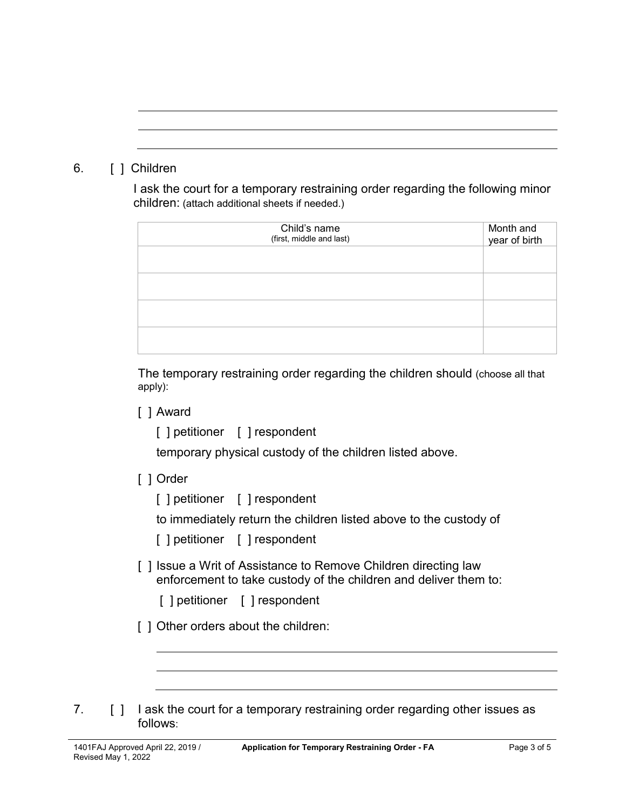# 6. [ ] Children

I ask the court for a temporary restraining order regarding the following minor children: (attach additional sheets if needed.)

| Child's name<br>(first, middle and last) | Month and<br>year of birth |
|------------------------------------------|----------------------------|
|                                          |                            |
|                                          |                            |
|                                          |                            |
|                                          |                            |

The temporary restraining order regarding the children should (choose all that apply):

### [ ] Award

[ ] petitioner [ ] respondent

temporary physical custody of the children listed above.

## [ ] Order

[ ] petitioner [ ] respondent

to immediately return the children listed above to the custody of

[ ] petitioner [ ] respondent

- [ ] Issue a Writ of Assistance to Remove Children directing law enforcement to take custody of the children and deliver them to:
	- [ ] petitioner [ ] respondent
- [ ] Other orders about the children:
- 7. [ ] I ask the court for a temporary restraining order regarding other issues as follows: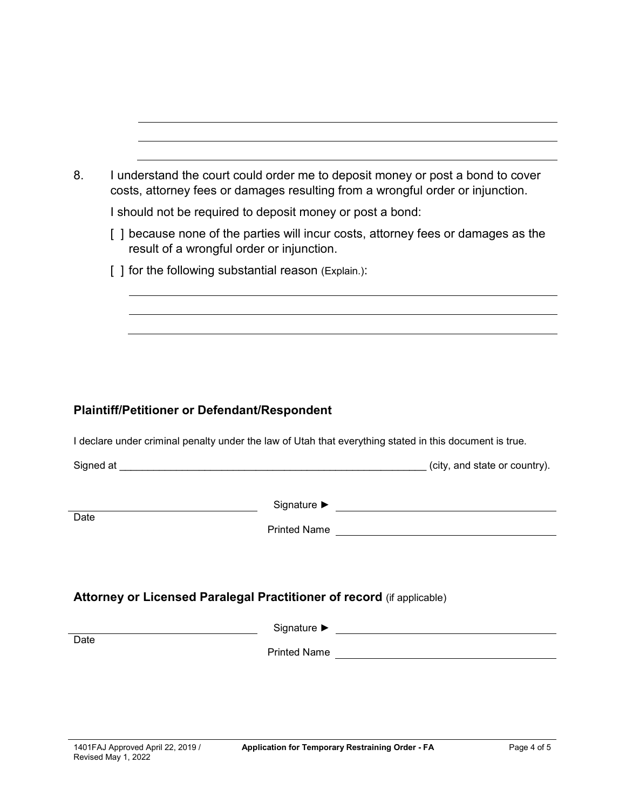| I understand the court could order me to deposit money or post a bond to cover<br>costs, attorney fees or damages resulting from a wrongful order or injunction. |
|------------------------------------------------------------------------------------------------------------------------------------------------------------------|
| I should not be required to deposit money or post a bond:                                                                                                        |
| because none of the parties will incur costs, attorney fees or damages as the<br>result of a wrongful order or injunction.                                       |
| [ ] for the following substantial reason (Explain.):                                                                                                             |
|                                                                                                                                                                  |
|                                                                                                                                                                  |

## **Plaintiff/Petitioner or Defendant/Respondent**

I declare under criminal penalty under the law of Utah that everything stated in this document is true.

|                                                                       |  | (city, and state or country). |  |  |  |
|-----------------------------------------------------------------------|--|-------------------------------|--|--|--|
|                                                                       |  |                               |  |  |  |
|                                                                       |  |                               |  |  |  |
| Date                                                                  |  |                               |  |  |  |
|                                                                       |  |                               |  |  |  |
|                                                                       |  |                               |  |  |  |
| Attorney or Licensed Paralegal Practitioner of record (if applicable) |  |                               |  |  |  |
|                                                                       |  |                               |  |  |  |
| Date                                                                  |  |                               |  |  |  |
|                                                                       |  |                               |  |  |  |
|                                                                       |  |                               |  |  |  |